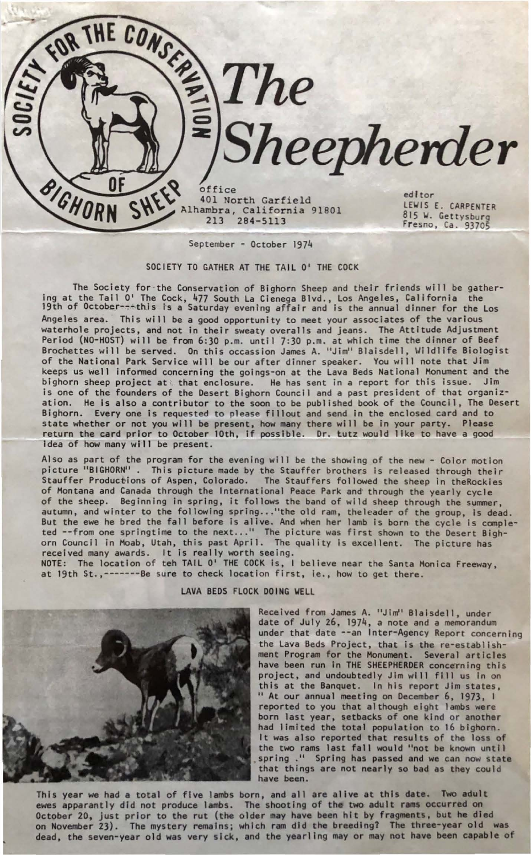office 401 North Garfield Alhambra, California 91801 213 284-5113

editor LEWIS E. CARPENTER 815 W. Gettysburg<br>Fresno, Ca. 93705

*Sheepherder* 

September - October 1974

**THE CONSTRUCTION STRE** 

SHEEP

**BIGHORN** 

SOCIETY TO GATHER AT THE TAIL O' THE COCK

The Society for ·the Conservation of Bighorn Sheep and their friends will be gathering at the Tail 0' The Cock, 477 South La Cienega Blvd., Los Angeles, California the 19th of October-~~this is a Saturday evening affair and is the annual dinner for the Los Angeles area. This will be a good opportunity to meet your associates of the various waterhole projects, and not in their sweaty overalls and jeans. The Attitude Adjustment Period (NO-HOST) will be from 6:30 p.m. until 7:30 p.m. at which time the dinner of Beef Brochettes will be served. On this occassion James A. "Jim" Blaisdell, llildlife Biologist of the National Park Service will be our after dinner speaker. You will note that Jim keeps us well informed concerning the goings-on at the Lava Beds National Monument and the bighorn sheep project at that enclosure. He has sent in a report for this issue. Jim is one of the founders of the Desert Bighorn Council and a past president of that organization. He is also a contributor to the soon to be published book of the Council, The Desert Bighorn. Every one is requested to please fillout and send in the enclosed card and to state whether or not you will be present, how many there will be in your party. Please return the card prior to October 10th, if possible. Dr. tutz would like to have a good idea of how many will be present.

Also as part of the program for the evening will be the showing of the new - Color motion picture "BIGHORN" . This picture made by the Stauffer brothers is released through their Stauffer Productions of Aspen, Colorado. The Stauffers followed the sheep in theRockies of Montana and Canada through the International Peace Park and through the yearly cycle of the sheep. Beginning in spring, it follows the band of wild sheep through the summer, autumn, and winter to the following spring..."the old ram, the leader of the group, is dead. But the ewe he bred the fall before is alive. And when her lamb is born the cycle is completed --from one springtime to the next ... " The picture was first shown to the Desert Bighorn Council in Moab, Utah, this past April. The quality is exce llent. The picture has received many awards. It is really worth seeing.

NOTE: The location of teh TAIL O'<sup>'</sup> THE COCK is, I believe near the Santa Monica Freeway,<br>at 19th St.,-------Be sure to check location first, ie., how to get there.

LAVA BEDS FLOCK DOING WELL

Received from James A. "Jim" Blalsdel l, under date of July 26, 1974, a note and a memorandum under that date --an Inter-Agency Report concerning the Lava Beds Project, that is the re-establishment Program for the Monument. Several articles have been run In THE SHEEPHERDER concerning this project, and undoubtedly Jim will fill us in on this at the Banquet. In his report Jim states, " At our annual meeting on December 6, 1973, I reported to you that although eight lambs were born last year, setbacks of one kind or another had limited the total population to 16 bighorn. It was also reported that results of the loss of the two rams last fall would "not be known until spring ." Spring has passed and we can now state that things are not nearly so bad as they could have been.

This year we had **a** total of five lambs born, and all are alive at this **date.** Two adult ewes apparantly did not produce lambs. The shooting of the two adult rams occurred on October 20, just prior to the rut (the older may have been hit by fragments, but he died<br>on November 23). The mystery remains; which ram did the breeding? The three-year old was dead, the seven-year old was very sick, and the yearling may or may not have been capable of